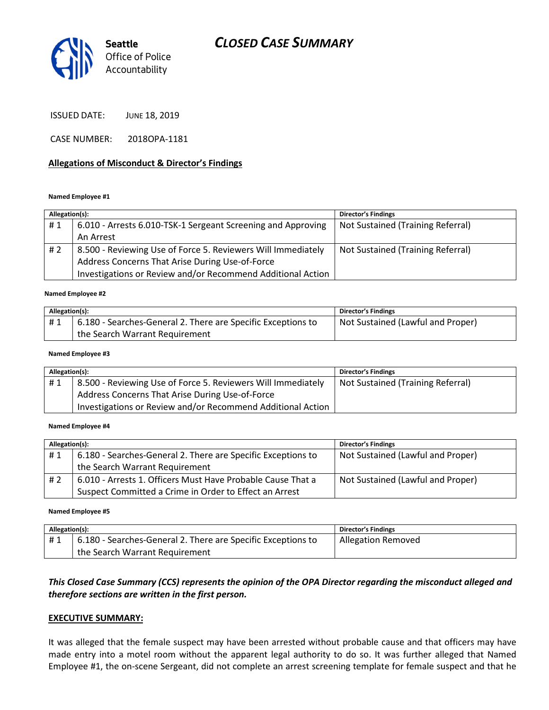# CLOSED CASE SUMMARY



ISSUED DATE: JUNE 18, 2019

CASE NUMBER: 2018OPA-1181

### Allegations of Misconduct & Director's Findings

#### Named Employee #1

| Allegation(s): |                                                              | <b>Director's Findings</b>        |
|----------------|--------------------------------------------------------------|-----------------------------------|
| #1             | 6.010 - Arrests 6.010-TSK-1 Sergeant Screening and Approving | Not Sustained (Training Referral) |
|                | An Arrest                                                    |                                   |
| #2             | 8.500 - Reviewing Use of Force 5. Reviewers Will Immediately | Not Sustained (Training Referral) |
|                | Address Concerns That Arise During Use-of-Force              |                                   |
|                | Investigations or Review and/or Recommend Additional Action  |                                   |
|                |                                                              |                                   |

#### Named Employee #2

| Allegation(s): |                                                              | <b>Director's Findings</b>        |
|----------------|--------------------------------------------------------------|-----------------------------------|
| #1             | 6.180 - Searches-General 2. There are Specific Exceptions to | Not Sustained (Lawful and Proper) |
|                | the Search Warrant Requirement                               |                                   |

#### Named Employee #3

| Allegation(s): |                                                              | <b>Director's Findings</b>        |
|----------------|--------------------------------------------------------------|-----------------------------------|
| #1             | 8.500 - Reviewing Use of Force 5. Reviewers Will Immediately | Not Sustained (Training Referral) |
|                | Address Concerns That Arise During Use-of-Force              |                                   |
|                | Investigations or Review and/or Recommend Additional Action  |                                   |

#### Named Employee #4

| Allegation(s): |                                                              | <b>Director's Findings</b>        |
|----------------|--------------------------------------------------------------|-----------------------------------|
| #1             | 6.180 - Searches-General 2. There are Specific Exceptions to | Not Sustained (Lawful and Proper) |
|                | the Search Warrant Requirement                               |                                   |
| # 2            | 6.010 - Arrests 1. Officers Must Have Probable Cause That a  | Not Sustained (Lawful and Proper) |
|                | Suspect Committed a Crime in Order to Effect an Arrest       |                                   |

#### Named Employee #5

| Allegation(s): |                                                              | <b>Director's Findings</b> |
|----------------|--------------------------------------------------------------|----------------------------|
| #1             | 6.180 - Searches-General 2. There are Specific Exceptions to | <b>Allegation Removed</b>  |
|                | the Search Warrant Requirement                               |                            |

# This Closed Case Summary (CCS) represents the opinion of the OPA Director regarding the misconduct alleged and therefore sections are written in the first person.

### EXECUTIVE SUMMARY:

It was alleged that the female suspect may have been arrested without probable cause and that officers may have made entry into a motel room without the apparent legal authority to do so. It was further alleged that Named Employee #1, the on-scene Sergeant, did not complete an arrest screening template for female suspect and that he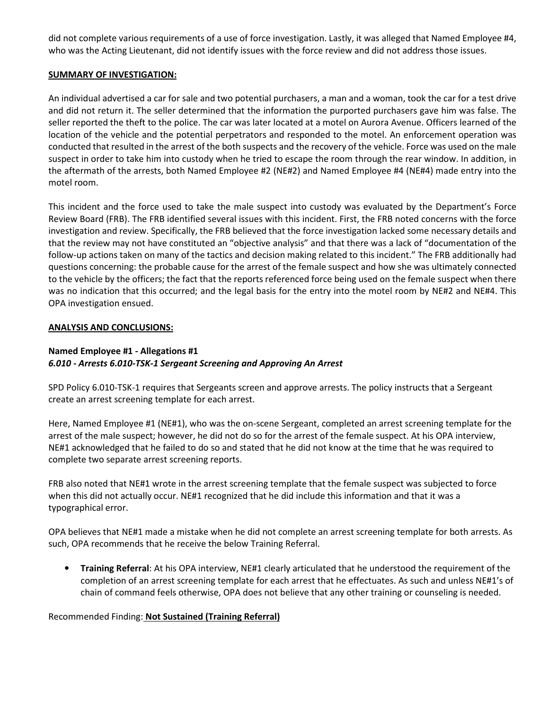did not complete various requirements of a use of force investigation. Lastly, it was alleged that Named Employee #4, who was the Acting Lieutenant, did not identify issues with the force review and did not address those issues.

### SUMMARY OF INVESTIGATION:

An individual advertised a car for sale and two potential purchasers, a man and a woman, took the car for a test drive and did not return it. The seller determined that the information the purported purchasers gave him was false. The seller reported the theft to the police. The car was later located at a motel on Aurora Avenue. Officers learned of the location of the vehicle and the potential perpetrators and responded to the motel. An enforcement operation was conducted that resulted in the arrest of the both suspects and the recovery of the vehicle. Force was used on the male suspect in order to take him into custody when he tried to escape the room through the rear window. In addition, in the aftermath of the arrests, both Named Employee #2 (NE#2) and Named Employee #4 (NE#4) made entry into the motel room.

This incident and the force used to take the male suspect into custody was evaluated by the Department's Force Review Board (FRB). The FRB identified several issues with this incident. First, the FRB noted concerns with the force investigation and review. Specifically, the FRB believed that the force investigation lacked some necessary details and that the review may not have constituted an "objective analysis" and that there was a lack of "documentation of the follow-up actions taken on many of the tactics and decision making related to this incident." The FRB additionally had questions concerning: the probable cause for the arrest of the female suspect and how she was ultimately connected to the vehicle by the officers; the fact that the reports referenced force being used on the female suspect when there was no indication that this occurred; and the legal basis for the entry into the motel room by NE#2 and NE#4. This OPA investigation ensued.

### ANALYSIS AND CONCLUSIONS:

# Named Employee #1 - Allegations #1 6.010 - Arrests 6.010-TSK-1 Sergeant Screening and Approving An Arrest

SPD Policy 6.010-TSK-1 requires that Sergeants screen and approve arrests. The policy instructs that a Sergeant create an arrest screening template for each arrest.

Here, Named Employee #1 (NE#1), who was the on-scene Sergeant, completed an arrest screening template for the arrest of the male suspect; however, he did not do so for the arrest of the female suspect. At his OPA interview, NE#1 acknowledged that he failed to do so and stated that he did not know at the time that he was required to complete two separate arrest screening reports.

FRB also noted that NE#1 wrote in the arrest screening template that the female suspect was subjected to force when this did not actually occur. NE#1 recognized that he did include this information and that it was a typographical error.

OPA believes that NE#1 made a mistake when he did not complete an arrest screening template for both arrests. As such, OPA recommends that he receive the below Training Referral.

• Training Referral: At his OPA interview, NE#1 clearly articulated that he understood the requirement of the completion of an arrest screening template for each arrest that he effectuates. As such and unless NE#1's of chain of command feels otherwise, OPA does not believe that any other training or counseling is needed.

Recommended Finding: Not Sustained (Training Referral)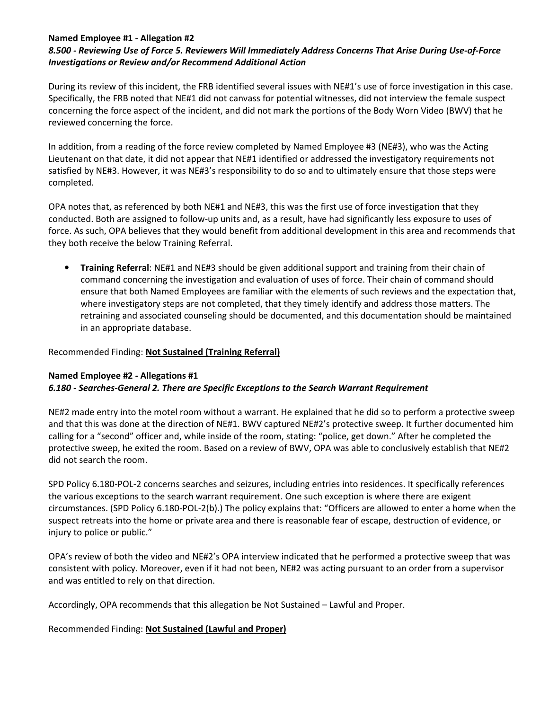# Named Employee #1 - Allegation #2

# 8.500 - Reviewing Use of Force 5. Reviewers Will Immediately Address Concerns That Arise During Use-of-Force Investigations or Review and/or Recommend Additional Action

During its review of this incident, the FRB identified several issues with NE#1's use of force investigation in this case. Specifically, the FRB noted that NE#1 did not canvass for potential witnesses, did not interview the female suspect concerning the force aspect of the incident, and did not mark the portions of the Body Worn Video (BWV) that he reviewed concerning the force.

In addition, from a reading of the force review completed by Named Employee #3 (NE#3), who was the Acting Lieutenant on that date, it did not appear that NE#1 identified or addressed the investigatory requirements not satisfied by NE#3. However, it was NE#3's responsibility to do so and to ultimately ensure that those steps were completed.

OPA notes that, as referenced by both NE#1 and NE#3, this was the first use of force investigation that they conducted. Both are assigned to follow-up units and, as a result, have had significantly less exposure to uses of force. As such, OPA believes that they would benefit from additional development in this area and recommends that they both receive the below Training Referral.

• Training Referral: NE#1 and NE#3 should be given additional support and training from their chain of command concerning the investigation and evaluation of uses of force. Their chain of command should ensure that both Named Employees are familiar with the elements of such reviews and the expectation that, where investigatory steps are not completed, that they timely identify and address those matters. The retraining and associated counseling should be documented, and this documentation should be maintained in an appropriate database.

# Recommended Finding: Not Sustained (Training Referral)

### Named Employee #2 - Allegations #1 6.180 - Searches-General 2. There are Specific Exceptions to the Search Warrant Requirement

NE#2 made entry into the motel room without a warrant. He explained that he did so to perform a protective sweep and that this was done at the direction of NE#1. BWV captured NE#2's protective sweep. It further documented him calling for a "second" officer and, while inside of the room, stating: "police, get down." After he completed the protective sweep, he exited the room. Based on a review of BWV, OPA was able to conclusively establish that NE#2 did not search the room.

SPD Policy 6.180-POL-2 concerns searches and seizures, including entries into residences. It specifically references the various exceptions to the search warrant requirement. One such exception is where there are exigent circumstances. (SPD Policy 6.180-POL-2(b).) The policy explains that: "Officers are allowed to enter a home when the suspect retreats into the home or private area and there is reasonable fear of escape, destruction of evidence, or injury to police or public."

OPA's review of both the video and NE#2's OPA interview indicated that he performed a protective sweep that was consistent with policy. Moreover, even if it had not been, NE#2 was acting pursuant to an order from a supervisor and was entitled to rely on that direction.

Accordingly, OPA recommends that this allegation be Not Sustained – Lawful and Proper.

# Recommended Finding: Not Sustained (Lawful and Proper)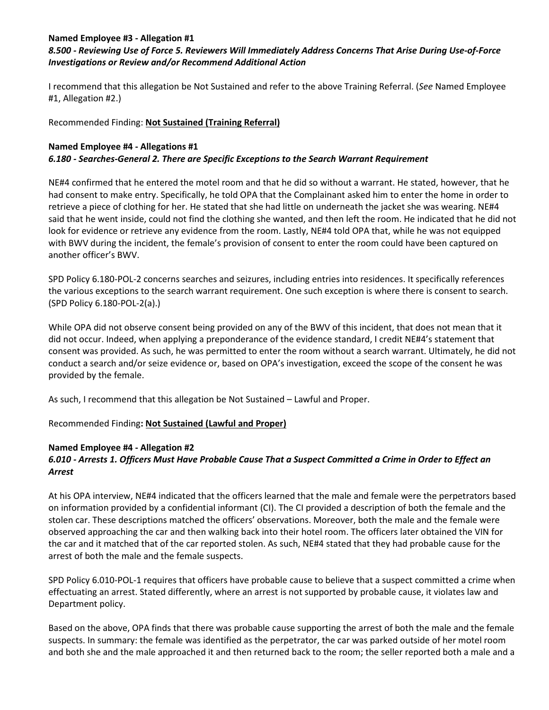# Named Employee #3 - Allegation #1

# 8.500 - Reviewing Use of Force 5. Reviewers Will Immediately Address Concerns That Arise During Use-of-Force Investigations or Review and/or Recommend Additional Action

I recommend that this allegation be Not Sustained and refer to the above Training Referral. (See Named Employee #1, Allegation #2.)

# Recommended Finding: Not Sustained (Training Referral)

# Named Employee #4 - Allegations #1 6.180 - Searches-General 2. There are Specific Exceptions to the Search Warrant Requirement

NE#4 confirmed that he entered the motel room and that he did so without a warrant. He stated, however, that he had consent to make entry. Specifically, he told OPA that the Complainant asked him to enter the home in order to retrieve a piece of clothing for her. He stated that she had little on underneath the jacket she was wearing. NE#4 said that he went inside, could not find the clothing she wanted, and then left the room. He indicated that he did not look for evidence or retrieve any evidence from the room. Lastly, NE#4 told OPA that, while he was not equipped with BWV during the incident, the female's provision of consent to enter the room could have been captured on another officer's BWV.

SPD Policy 6.180-POL-2 concerns searches and seizures, including entries into residences. It specifically references the various exceptions to the search warrant requirement. One such exception is where there is consent to search. (SPD Policy 6.180-POL-2(a).)

While OPA did not observe consent being provided on any of the BWV of this incident, that does not mean that it did not occur. Indeed, when applying a preponderance of the evidence standard, I credit NE#4's statement that consent was provided. As such, he was permitted to enter the room without a search warrant. Ultimately, he did not conduct a search and/or seize evidence or, based on OPA's investigation, exceed the scope of the consent he was provided by the female.

As such, I recommend that this allegation be Not Sustained – Lawful and Proper.

Recommended Finding: Not Sustained (Lawful and Proper)

# Named Employee #4 - Allegation #2

# 6.010 - Arrests 1. Officers Must Have Probable Cause That a Suspect Committed a Crime in Order to Effect an Arrest

At his OPA interview, NE#4 indicated that the officers learned that the male and female were the perpetrators based on information provided by a confidential informant (CI). The CI provided a description of both the female and the stolen car. These descriptions matched the officers' observations. Moreover, both the male and the female were observed approaching the car and then walking back into their hotel room. The officers later obtained the VIN for the car and it matched that of the car reported stolen. As such, NE#4 stated that they had probable cause for the arrest of both the male and the female suspects.

SPD Policy 6.010-POL-1 requires that officers have probable cause to believe that a suspect committed a crime when effectuating an arrest. Stated differently, where an arrest is not supported by probable cause, it violates law and Department policy.

Based on the above, OPA finds that there was probable cause supporting the arrest of both the male and the female suspects. In summary: the female was identified as the perpetrator, the car was parked outside of her motel room and both she and the male approached it and then returned back to the room; the seller reported both a male and a